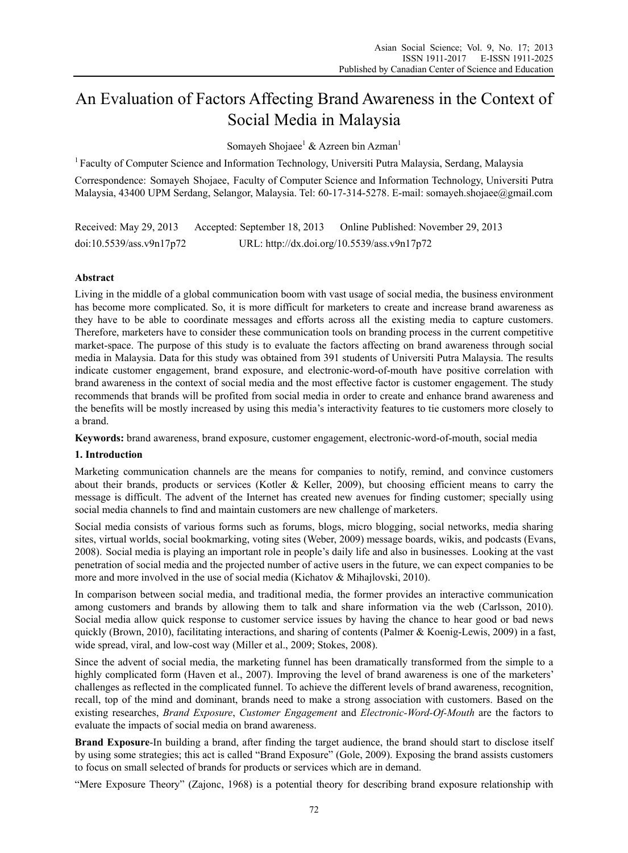# An Evaluation of Factors Affecting Brand Awareness in the Context of Social Media in Malaysia

Somayeh Shojaee<sup>1</sup> & Azreen bin Azman<sup>1</sup>

1 Faculty of Computer Science and Information Technology, Universiti Putra Malaysia, Serdang, Malaysia

Correspondence: Somayeh Shojaee, Faculty of Computer Science and Information Technology, Universiti Putra Malaysia, 43400 UPM Serdang, Selangor, Malaysia. Tel: 60-17-314-5278. E-mail: somayeh.shojaee@gmail.com

Received: May 29, 2013 Accepted: September 18, 2013 Online Published: November 29, 2013 doi:10.5539/ass.v9n17p72 URL: http://dx.doi.org/10.5539/ass.v9n17p72

# **Abstract**

Living in the middle of a global communication boom with vast usage of social media, the business environment has become more complicated. So, it is more difficult for marketers to create and increase brand awareness as they have to be able to coordinate messages and efforts across all the existing media to capture customers. Therefore, marketers have to consider these communication tools on branding process in the current competitive market-space. The purpose of this study is to evaluate the factors affecting on brand awareness through social media in Malaysia. Data for this study was obtained from 391 students of Universiti Putra Malaysia. The results indicate customer engagement, brand exposure, and electronic-word-of-mouth have positive correlation with brand awareness in the context of social media and the most effective factor is customer engagement. The study recommends that brands will be profited from social media in order to create and enhance brand awareness and the benefits will be mostly increased by using this media's interactivity features to tie customers more closely to a brand.

**Keywords:** brand awareness, brand exposure, customer engagement, electronic-word-of-mouth, social media

## **1. Introduction**

Marketing communication channels are the means for companies to notify, remind, and convince customers about their brands, products or services (Kotler & Keller, 2009), but choosing efficient means to carry the message is difficult. The advent of the Internet has created new avenues for finding customer; specially using social media channels to find and maintain customers are new challenge of marketers.

Social media consists of various forms such as forums, blogs, micro blogging, social networks, media sharing sites, virtual worlds, social bookmarking, voting sites (Weber, 2009) message boards, wikis, and podcasts (Evans, 2008). Social media is playing an important role in people's daily life and also in businesses. Looking at the vast penetration of social media and the projected number of active users in the future, we can expect companies to be more and more involved in the use of social media (Kichatov & Mihajlovski, 2010).

In comparison between social media, and traditional media, the former provides an interactive communication among customers and brands by allowing them to talk and share information via the web (Carlsson, 2010). Social media allow quick response to customer service issues by having the chance to hear good or bad news quickly (Brown, 2010), facilitating interactions, and sharing of contents (Palmer & Koenig-Lewis, 2009) in a fast, wide spread, viral, and low-cost way (Miller et al., 2009; Stokes, 2008).

Since the advent of social media, the marketing funnel has been dramatically transformed from the simple to a highly complicated form (Haven et al., 2007). Improving the level of brand awareness is one of the marketers' challenges as reflected in the complicated funnel. To achieve the different levels of brand awareness, recognition, recall, top of the mind and dominant, brands need to make a strong association with customers. Based on the existing researches, *Brand Exposure*, *Customer Engagement* and *Electronic-Word-Of-Mouth* are the factors to evaluate the impacts of social media on brand awareness.

**Brand Exposure**-In building a brand, after finding the target audience, the brand should start to disclose itself by using some strategies; this act is called "Brand Exposure" (Gole, 2009). Exposing the brand assists customers to focus on small selected of brands for products or services which are in demand.

"Mere Exposure Theory" (Zajonc, 1968) is a potential theory for describing brand exposure relationship with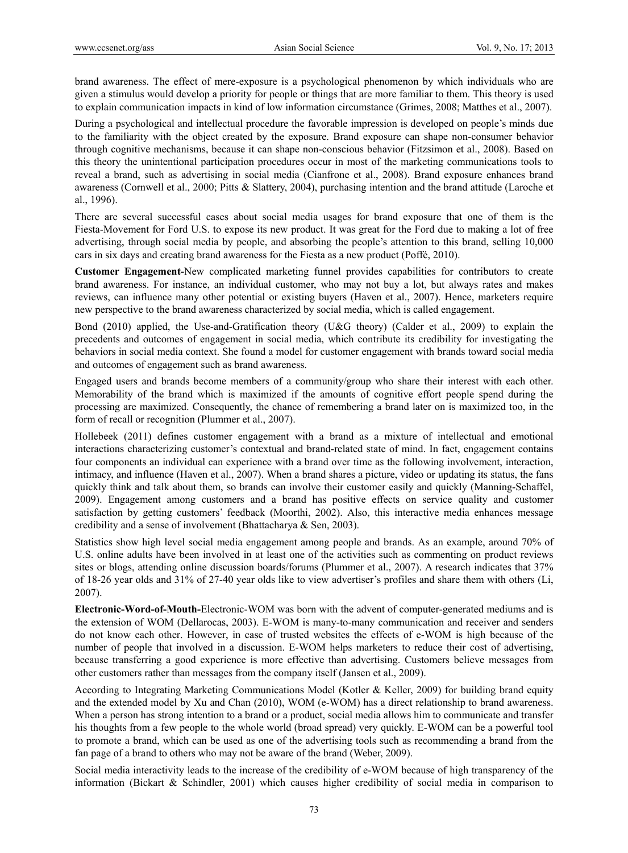brand awareness. The effect of mere-exposure is a psychological phenomenon by which individuals who are given a stimulus would develop a priority for people or things that are more familiar to them. This theory is used to explain communication impacts in kind of low information circumstance (Grimes, 2008; Matthes et al., 2007).

During a psychological and intellectual procedure the favorable impression is developed on people's minds due to the familiarity with the object created by the exposure. Brand exposure can shape non-consumer behavior through cognitive mechanisms, because it can shape non-conscious behavior (Fitzsimon et al., 2008). Based on this theory the unintentional participation procedures occur in most of the marketing communications tools to reveal a brand, such as advertising in social media (Cianfrone et al., 2008). Brand exposure enhances brand awareness (Cornwell et al., 2000; Pitts & Slattery, 2004), purchasing intention and the brand attitude (Laroche et al., 1996).

There are several successful cases about social media usages for brand exposure that one of them is the Fiesta-Movement for Ford U.S. to expose its new product. It was great for the Ford due to making a lot of free advertising, through social media by people, and absorbing the people's attention to this brand, selling 10,000 cars in six days and creating brand awareness for the Fiesta as a new product (Poffé, 2010).

**Customer Engagement-**New complicated marketing funnel provides capabilities for contributors to create brand awareness. For instance, an individual customer, who may not buy a lot, but always rates and makes reviews, can influence many other potential or existing buyers (Haven et al., 2007). Hence, marketers require new perspective to the brand awareness characterized by social media, which is called engagement.

Bond (2010) applied, the Use-and-Gratification theory (U&G theory) (Calder et al., 2009) to explain the precedents and outcomes of engagement in social media, which contribute its credibility for investigating the behaviors in social media context. She found a model for customer engagement with brands toward social media and outcomes of engagement such as brand awareness.

Engaged users and brands become members of a community/group who share their interest with each other. Memorability of the brand which is maximized if the amounts of cognitive effort people spend during the processing are maximized. Consequently, the chance of remembering a brand later on is maximized too, in the form of recall or recognition (Plummer et al., 2007).

Hollebeek (2011) defines customer engagement with a brand as a mixture of intellectual and emotional interactions characterizing customer's contextual and brand-related state of mind. In fact, engagement contains four components an individual can experience with a brand over time as the following involvement, interaction, intimacy, and influence (Haven et al., 2007). When a brand shares a picture, video or updating its status, the fans quickly think and talk about them, so brands can involve their customer easily and quickly (Manning-Schaffel, 2009). Engagement among customers and a brand has positive effects on service quality and customer satisfaction by getting customers' feedback (Moorthi, 2002). Also, this interactive media enhances message credibility and a sense of involvement (Bhattacharya & Sen, 2003).

Statistics show high level social media engagement among people and brands. As an example, around 70% of U.S. online adults have been involved in at least one of the activities such as commenting on product reviews sites or blogs, attending online discussion boards/forums (Plummer et al., 2007). A research indicates that 37% of 18-26 year olds and 31% of 27-40 year olds like to view advertiser's profiles and share them with others (Li, 2007).

**Electronic-Word-of-Mouth-**Electronic-WOM was born with the advent of computer-generated mediums and is the extension of WOM (Dellarocas, 2003). E-WOM is many-to-many communication and receiver and senders do not know each other. However, in case of trusted websites the effects of e-WOM is high because of the number of people that involved in a discussion. E-WOM helps marketers to reduce their cost of advertising, because transferring a good experience is more effective than advertising. Customers believe messages from other customers rather than messages from the company itself (Jansen et al., 2009).

According to Integrating Marketing Communications Model (Kotler & Keller, 2009) for building brand equity and the extended model by Xu and Chan (2010), WOM (e-WOM) has a direct relationship to brand awareness. When a person has strong intention to a brand or a product, social media allows him to communicate and transfer his thoughts from a few people to the whole world (broad spread) very quickly. E-WOM can be a powerful tool to promote a brand, which can be used as one of the advertising tools such as recommending a brand from the fan page of a brand to others who may not be aware of the brand (Weber, 2009).

Social media interactivity leads to the increase of the credibility of e-WOM because of high transparency of the information (Bickart & Schindler, 2001) which causes higher credibility of social media in comparison to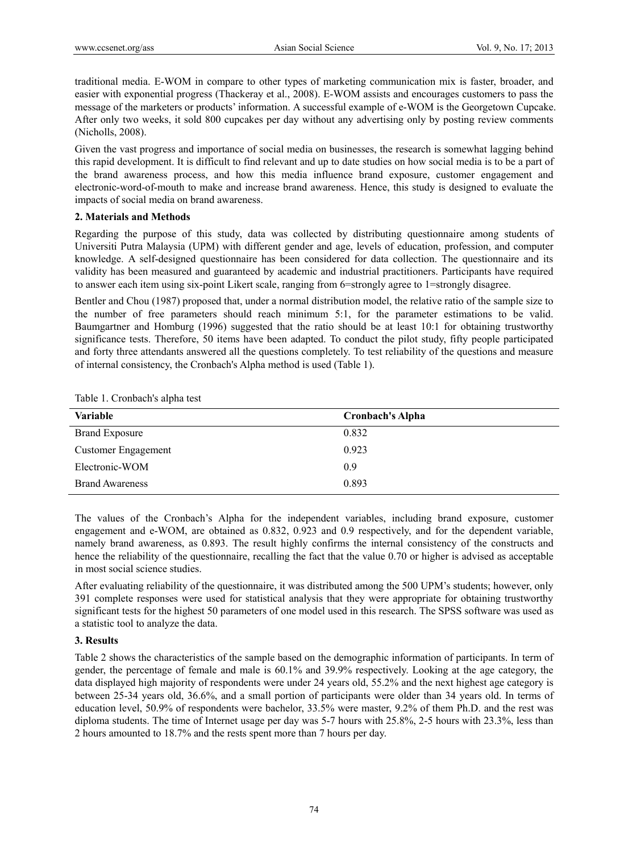traditional media. E-WOM in compare to other types of marketing communication mix is faster, broader, and easier with exponential progress (Thackeray et al., 2008). E-WOM assists and encourages customers to pass the message of the marketers or products' information. A successful example of e-WOM is the Georgetown Cupcake. After only two weeks, it sold 800 cupcakes per day without any advertising only by posting review comments (Nicholls, 2008).

Given the vast progress and importance of social media on businesses, the research is somewhat lagging behind this rapid development. It is difficult to find relevant and up to date studies on how social media is to be a part of the brand awareness process, and how this media influence brand exposure, customer engagement and electronic-word-of-mouth to make and increase brand awareness. Hence, this study is designed to evaluate the impacts of social media on brand awareness.

## **2. Materials and Methods**

Regarding the purpose of this study, data was collected by distributing questionnaire among students of Universiti Putra Malaysia (UPM) with different gender and age, levels of education, profession, and computer knowledge. A self-designed questionnaire has been considered for data collection. The questionnaire and its validity has been measured and guaranteed by academic and industrial practitioners. Participants have required to answer each item using six-point Likert scale, ranging from 6=strongly agree to 1=strongly disagree.

Bentler and Chou (1987) proposed that, under a normal distribution model, the relative ratio of the sample size to the number of free parameters should reach minimum 5:1, for the parameter estimations to be valid. Baumgartner and Homburg (1996) suggested that the ratio should be at least 10:1 for obtaining trustworthy significance tests. Therefore, 50 items have been adapted. To conduct the pilot study, fifty people participated and forty three attendants answered all the questions completely. To test reliability of the questions and measure of internal consistency, the Cronbach's Alpha method is used (Table 1).

| <b>Variable</b>            | <b>Cronbach's Alpha</b> |
|----------------------------|-------------------------|
| <b>Brand Exposure</b>      | 0.832                   |
| <b>Customer Engagement</b> | 0.923                   |
| Electronic-WOM             | 0.9                     |
| <b>Brand Awareness</b>     | 0.893                   |

Table 1. Cronbach's alpha test

The values of the Cronbach's Alpha for the independent variables, including brand exposure, customer engagement and e-WOM, are obtained as 0.832, 0.923 and 0.9 respectively, and for the dependent variable, namely brand awareness, as 0.893. The result highly confirms the internal consistency of the constructs and hence the reliability of the questionnaire, recalling the fact that the value 0.70 or higher is advised as acceptable in most social science studies.

After evaluating reliability of the questionnaire, it was distributed among the 500 UPM's students; however, only 391 complete responses were used for statistical analysis that they were appropriate for obtaining trustworthy significant tests for the highest 50 parameters of one model used in this research. The SPSS software was used as a statistic tool to analyze the data.

## **3. Results**

Table 2 shows the characteristics of the sample based on the demographic information of participants. In term of gender, the percentage of female and male is 60.1% and 39.9% respectively. Looking at the age category, the data displayed high majority of respondents were under 24 years old, 55.2% and the next highest age category is between 25-34 years old, 36.6%, and a small portion of participants were older than 34 years old. In terms of education level, 50.9% of respondents were bachelor, 33.5% were master, 9.2% of them Ph.D. and the rest was diploma students. The time of Internet usage per day was 5-7 hours with 25.8%, 2-5 hours with 23.3%, less than 2 hours amounted to 18.7% and the rests spent more than 7 hours per day.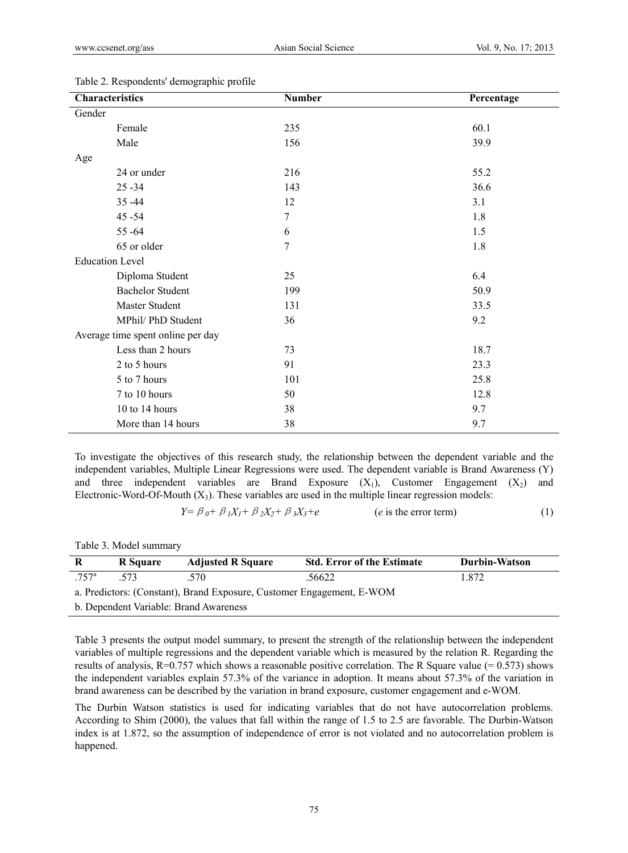| Characteristics        |                                   | <b>Number</b>  | Percentage |
|------------------------|-----------------------------------|----------------|------------|
| Gender                 |                                   |                |            |
|                        | Female                            | 235            | 60.1       |
|                        | Male                              | 156            | 39.9       |
| Age                    |                                   |                |            |
|                        | 24 or under                       | 216            | 55.2       |
|                        | $25 - 34$                         | 143            | 36.6       |
|                        | $35 - 44$                         | 12             | 3.1        |
|                        | $45 - 54$                         | $\overline{7}$ | 1.8        |
|                        | $55 - 64$                         | 6              | 1.5        |
|                        | 65 or older                       | 7              | 1.8        |
| <b>Education Level</b> |                                   |                |            |
|                        | Diploma Student                   | 25             | 6.4        |
|                        | <b>Bachelor Student</b>           | 199            | 50.9       |
|                        | Master Student                    | 131            | 33.5       |
|                        | MPhil/ PhD Student                | 36             | 9.2        |
|                        | Average time spent online per day |                |            |
|                        | Less than 2 hours                 | 73             | 18.7       |
|                        | 2 to 5 hours                      | 91             | 23.3       |
|                        | 5 to 7 hours                      | 101            | 25.8       |
|                        | 7 to 10 hours                     | 50             | 12.8       |
|                        | 10 to 14 hours                    | 38             | 9.7        |
|                        | More than 14 hours                | 38             | 9.7        |

#### Table 2. Respondents' demographic profile

To investigate the objectives of this research study, the relationship between the dependent variable and the independent variables, Multiple Linear Regressions were used. The dependent variable is Brand Awareness (Y) and three independent variables are Brand Exposure  $(X_1)$ , Customer Engagement  $(X_2)$  and Electronic-Word-Of-Mouth  $(X_3)$ . These variables are used in the multiple linear regression models:

 $Y = \beta_0 + \beta_1 X_1 + \beta_2 X_2 + \beta_3 X_3 + e$  (*e* is the error term) (1)

Table 3. Model summary

| R                                                                     | <b>R</b> Square | <b>Adjusted R Square</b> | <b>Std. Error of the Estimate</b> | <b>Durbin-Watson</b> |  |
|-----------------------------------------------------------------------|-----------------|--------------------------|-----------------------------------|----------------------|--|
| $.757$ <sup>a</sup>                                                   | 573             | 570                      | .56622                            | 1872                 |  |
| a. Predictors: (Constant), Brand Exposure, Customer Engagement, E-WOM |                 |                          |                                   |                      |  |
| b. Dependent Variable: Brand Awareness                                |                 |                          |                                   |                      |  |

Table 3 presents the output model summary, to present the strength of the relationship between the independent variables of multiple regressions and the dependent variable which is measured by the relation R. Regarding the results of analysis,  $R=0.757$  which shows a reasonable positive correlation. The R Square value (= 0.573) shows the independent variables explain 57.3% of the variance in adoption. It means about 57.3% of the variation in brand awareness can be described by the variation in brand exposure, customer engagement and e-WOM.

The Durbin Watson statistics is used for indicating variables that do not have autocorrelation problems. According to Shim (2000), the values that fall within the range of 1.5 to 2.5 are favorable. The Durbin-Watson index is at 1.872, so the assumption of independence of error is not violated and no autocorrelation problem is happened.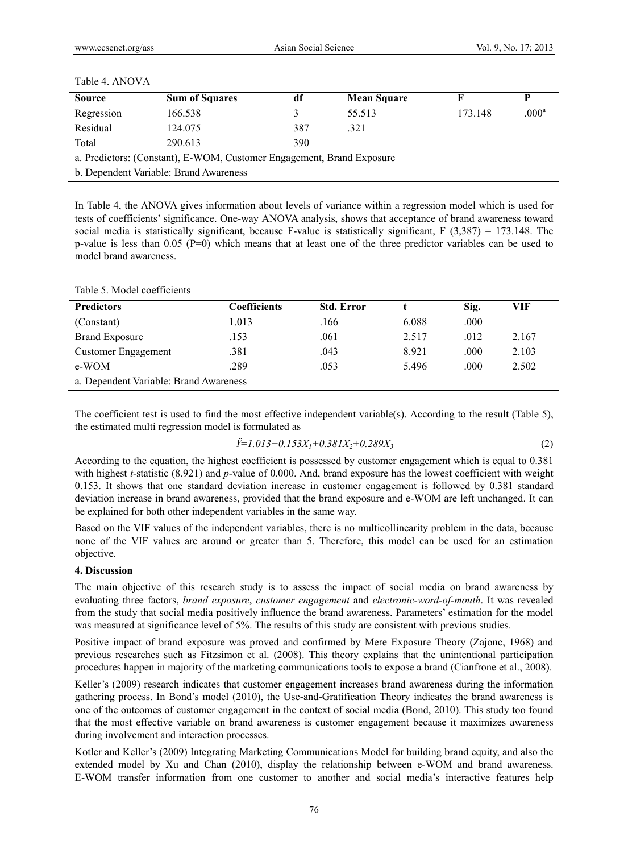| Table 4. ANOVA |  |
|----------------|--|
|----------------|--|

| <b>Source</b>                                                         | <b>Sum of Squares</b> |     | <b>Mean Square</b> |         |                   |
|-----------------------------------------------------------------------|-----------------------|-----|--------------------|---------|-------------------|
| Regression                                                            | 166.538               |     | 55.513             | 173.148 | .000 <sup>a</sup> |
| Residual                                                              | 124.075               | 387 | .321               |         |                   |
| Total                                                                 | 290.613               | 390 |                    |         |                   |
| a. Predictors: (Constant), E-WOM, Customer Engagement, Brand Exposure |                       |     |                    |         |                   |

b. Dependent Variable: Brand Awareness

In Table 4, the ANOVA gives information about levels of variance within a regression model which is used for tests of coefficients' significance. One-way ANOVA analysis, shows that acceptance of brand awareness toward social media is statistically significant, because F-value is statistically significant, F  $(3,387) = 173.148$ . The p-value is less than 0.05 (P=0) which means that at least one of the three predictor variables can be used to model brand awareness.

| <b>Predictors</b>                      | Coefficients | <b>Std. Error</b> |       | Sig. | VIF   |  |
|----------------------------------------|--------------|-------------------|-------|------|-------|--|
| (Constant)                             | 1.013        | .166              | 6.088 | .000 |       |  |
| <b>Brand Exposure</b>                  | .153         | .061              | 2.517 | .012 | 2.167 |  |
| Customer Engagement                    | .381         | .043              | 8.921 | .000 | 2.103 |  |
| e-WOM                                  | .289         | .053              | 5.496 | .000 | 2.502 |  |
| a. Dependent Variable: Brand Awareness |              |                   |       |      |       |  |

#### Table 5. Model coefficients

The coefficient test is used to find the most effective independent variable(s). According to the result (Table 5), the estimated multi regression model is formulated as

$$
\ddot{Y} = 1.013 + 0.153X_1 + 0.381X_2 + 0.289X_3
$$
\n(2)

According to the equation, the highest coefficient is possessed by customer engagement which is equal to 0.381 with highest *t*-statistic (8.921) and *p*-value of 0.000. And, brand exposure has the lowest coefficient with weight 0.153. It shows that one standard deviation increase in customer engagement is followed by 0.381 standard deviation increase in brand awareness, provided that the brand exposure and e-WOM are left unchanged. It can be explained for both other independent variables in the same way.

Based on the VIF values of the independent variables, there is no multicollinearity problem in the data, because none of the VIF values are around or greater than 5. Therefore, this model can be used for an estimation objective.

## **4. Discussion**

The main objective of this research study is to assess the impact of social media on brand awareness by evaluating three factors, *brand exposure*, *customer engagement* and *electronic-word-of-mouth*. It was revealed from the study that social media positively influence the brand awareness. Parameters' estimation for the model was measured at significance level of 5%. The results of this study are consistent with previous studies.

Positive impact of brand exposure was proved and confirmed by Mere Exposure Theory (Zajonc, 1968) and previous researches such as Fitzsimon et al. (2008). This theory explains that the unintentional participation procedures happen in majority of the marketing communications tools to expose a brand (Cianfrone et al., 2008).

Keller's (2009) research indicates that customer engagement increases brand awareness during the information gathering process. In Bond's model (2010), the Use-and-Gratification Theory indicates the brand awareness is one of the outcomes of customer engagement in the context of social media (Bond, 2010). This study too found that the most effective variable on brand awareness is customer engagement because it maximizes awareness during involvement and interaction processes.

Kotler and Keller's (2009) Integrating Marketing Communications Model for building brand equity, and also the extended model by Xu and Chan (2010), display the relationship between e-WOM and brand awareness. E-WOM transfer information from one customer to another and social media's interactive features help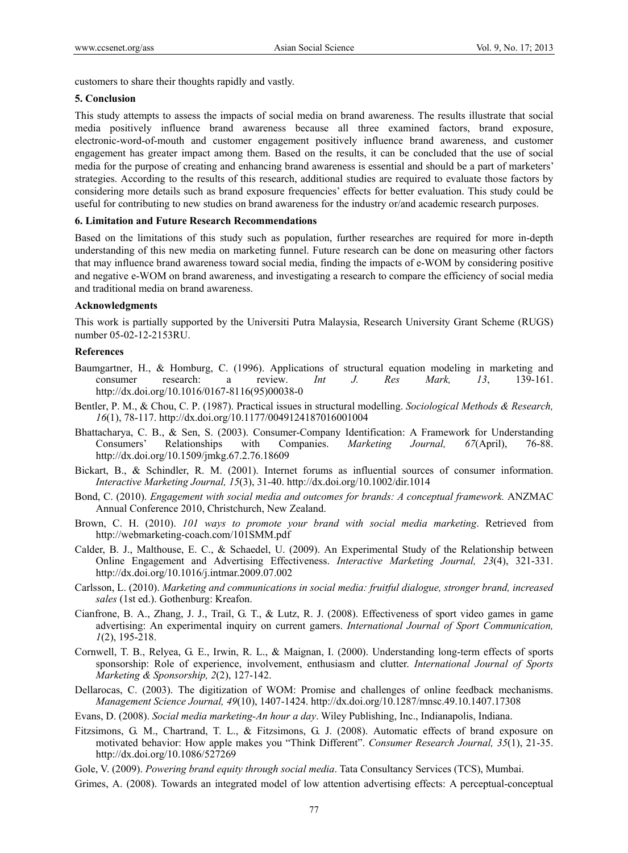customers to share their thoughts rapidly and vastly.

## **5. Conclusion**

This study attempts to assess the impacts of social media on brand awareness. The results illustrate that social media positively influence brand awareness because all three examined factors, brand exposure, electronic-word-of-mouth and customer engagement positively influence brand awareness, and customer engagement has greater impact among them. Based on the results, it can be concluded that the use of social media for the purpose of creating and enhancing brand awareness is essential and should be a part of marketers' strategies. According to the results of this research, additional studies are required to evaluate those factors by considering more details such as brand exposure frequencies' effects for better evaluation. This study could be useful for contributing to new studies on brand awareness for the industry or/and academic research purposes.

#### **6. Limitation and Future Research Recommendations**

Based on the limitations of this study such as population, further researches are required for more in-depth understanding of this new media on marketing funnel. Future research can be done on measuring other factors that may influence brand awareness toward social media, finding the impacts of e-WOM by considering positive and negative e-WOM on brand awareness, and investigating a research to compare the efficiency of social media and traditional media on brand awareness.

## **Acknowledgments**

This work is partially supported by the Universiti Putra Malaysia, Research University Grant Scheme (RUGS) number 05-02-12-2153RU.

#### **References**

- Baumgartner, H., & Homburg, C. (1996). Applications of structural equation modeling in marketing and consumer research: a review. *Int J. Res Mark, 13*, 139-161. http://dx.doi.org/10.1016/0167-8116(95)00038-0
- Bentler, P. M., & Chou, C. P. (1987). Practical issues in structural modelling. *Sociological Methods & Research, 16*(1), 78-117. http://dx.doi.org/10.1177/0049124187016001004
- Bhattacharya, C. B., & Sen, S. (2003). Consumer-Company Identification: A Framework for Understanding Consumers' Relationships with Companies. *Marketing Journal, 67*(April), 76-88. http://dx.doi.org/10.1509/jmkg.67.2.76.18609
- Bickart, B., & Schindler, R. M. (2001). Internet forums as influential sources of consumer information. *Interactive Marketing Journal, 15*(3), 31-40. http://dx.doi.org/10.1002/dir.1014
- Bond, C. (2010). *Engagement with social media and outcomes for brands: A conceptual framework.* ANZMAC Annual Conference 2010, Christchurch, New Zealand.
- Brown, C. H. (2010). *101 ways to promote your brand with social media marketing*. Retrieved from http://webmarketing-coach.com/101SMM.pdf
- Calder, B. J., Malthouse, E. C., & Schaedel, U. (2009). An Experimental Study of the Relationship between Online Engagement and Advertising Effectiveness. *Interactive Marketing Journal, 23*(4), 321-331. http://dx.doi.org/10.1016/j.intmar.2009.07.002
- Carlsson, L. (2010). *Marketing and communications in social media: fruitful dialogue, stronger brand, increased sales* (1st ed.). Gothenburg: Kreafon.
- Cianfrone, B. A., Zhang, J. J., Trail, G. T., & Lutz, R. J. (2008). Effectiveness of sport video games in game advertising: An experimental inquiry on current gamers. *International Journal of Sport Communication, 1*(2), 195-218.
- Cornwell, T. B., Relyea, G. E., Irwin, R. L., & Maignan, I. (2000). Understanding long-term effects of sports sponsorship: Role of experience, involvement, enthusiasm and clutter. *International Journal of Sports Marketing & Sponsorship, 2*(2), 127-142.
- Dellarocas, C. (2003). The digitization of WOM: Promise and challenges of online feedback mechanisms. *Management Science Journal, 49*(10), 1407-1424. http://dx.doi.org/10.1287/mnsc.49.10.1407.17308
- Evans, D. (2008). *Social media marketing-An hour a day*. Wiley Publishing, Inc., Indianapolis, Indiana.
- Fitzsimons, G. M., Chartrand, T. L., & Fitzsimons, G. J. (2008). Automatic effects of brand exposure on motivated behavior: How apple makes you "Think Different". *Consumer Research Journal, 35*(1), 21-35. http://dx.doi.org/10.1086/527269
- Gole, V. (2009). *Powering brand equity through social media*. Tata Consultancy Services (TCS), Mumbai.
- Grimes, A. (2008). Towards an integrated model of low attention advertising effects: A perceptual-conceptual